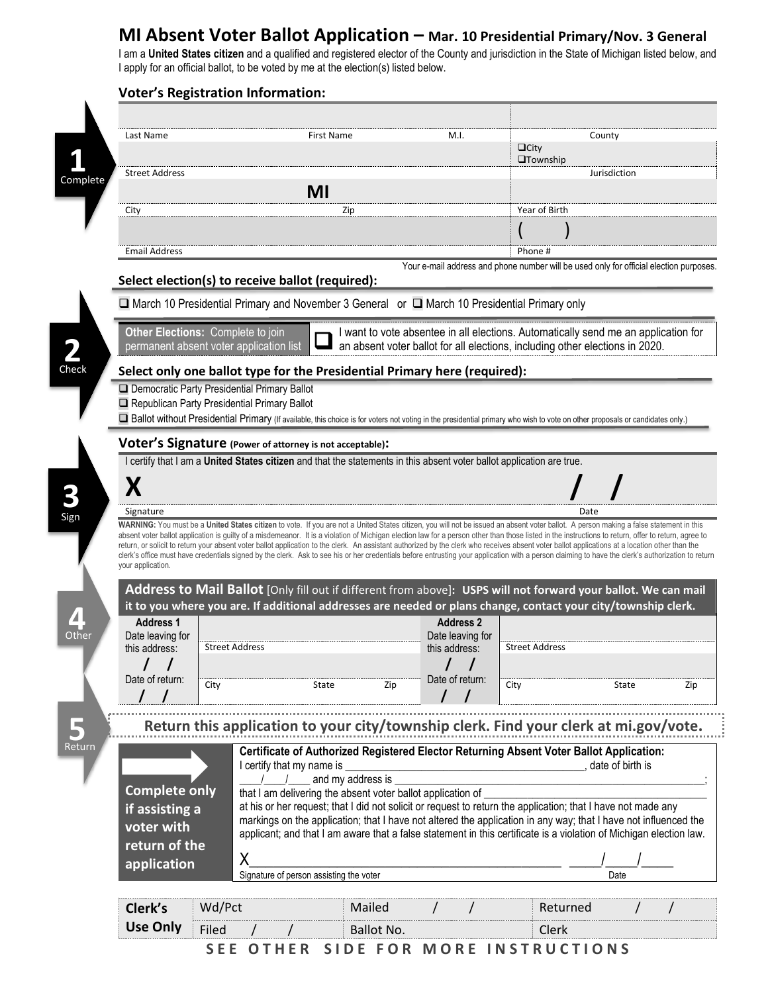## **MI Absent Voter Ballot Application – Mar. 10 Presidential Primary/Nov. 3 General**

I am a **United States citizen** and a qualified and registered elector of the County and jurisdiction in the State of Michigan listed below, and I apply for an official ballot, to be voted by me at the election(s) listed below.

| Last Name             |                                              | <b>First Name</b>                                                                                                                                                                                                                                                                                                                                                                                    | M.I.                                                                                                                  |                                              | County             |
|-----------------------|----------------------------------------------|------------------------------------------------------------------------------------------------------------------------------------------------------------------------------------------------------------------------------------------------------------------------------------------------------------------------------------------------------------------------------------------------------|-----------------------------------------------------------------------------------------------------------------------|----------------------------------------------|--------------------|
|                       |                                              |                                                                                                                                                                                                                                                                                                                                                                                                      |                                                                                                                       | $\Box$ City<br><b>O</b> Township             |                    |
| <b>Street Address</b> |                                              |                                                                                                                                                                                                                                                                                                                                                                                                      |                                                                                                                       |                                              | Jurisdiction       |
|                       |                                              | MI                                                                                                                                                                                                                                                                                                                                                                                                   |                                                                                                                       |                                              |                    |
| City                  |                                              | Zip                                                                                                                                                                                                                                                                                                                                                                                                  |                                                                                                                       | Year of Birth                                |                    |
|                       |                                              |                                                                                                                                                                                                                                                                                                                                                                                                      |                                                                                                                       |                                              |                    |
| <b>Email Address</b>  |                                              |                                                                                                                                                                                                                                                                                                                                                                                                      |                                                                                                                       | Phone#                                       |                    |
|                       |                                              | Select election(s) to receive ballot (required):                                                                                                                                                                                                                                                                                                                                                     | Your e-mail address and phone number will be used only for official election purposes.                                |                                              |                    |
|                       |                                              | □ March 10 Presidential Primary and November 3 General or □ March 10 Presidential Primary only                                                                                                                                                                                                                                                                                                       |                                                                                                                       |                                              |                    |
|                       | Other Elections: Complete to join            |                                                                                                                                                                                                                                                                                                                                                                                                      | I want to vote absentee in all elections. Automatically send me an application for                                    |                                              |                    |
|                       | permanent absent voter application list      |                                                                                                                                                                                                                                                                                                                                                                                                      | an absent voter ballot for all elections, including other elections in 2020.                                          |                                              |                    |
|                       |                                              | Select only one ballot type for the Presidential Primary here (required):                                                                                                                                                                                                                                                                                                                            |                                                                                                                       |                                              |                    |
|                       | Democratic Party Presidential Primary Ballot |                                                                                                                                                                                                                                                                                                                                                                                                      |                                                                                                                       |                                              |                    |
|                       | Republican Party Presidential Primary Ballot |                                                                                                                                                                                                                                                                                                                                                                                                      |                                                                                                                       |                                              |                    |
|                       |                                              | [D Ballot without Presidential Primary (If available, this choice is for voters not voting in the presidential primary who wish to vote on other proposals or candidates only.)                                                                                                                                                                                                                      |                                                                                                                       |                                              |                    |
|                       |                                              |                                                                                                                                                                                                                                                                                                                                                                                                      |                                                                                                                       |                                              |                    |
|                       |                                              | Voter's Signature (Power of attorney is not acceptable):                                                                                                                                                                                                                                                                                                                                             | I certify that I am a United States citizen and that the statements in this absent voter ballot application are true. |                                              |                    |
|                       |                                              |                                                                                                                                                                                                                                                                                                                                                                                                      |                                                                                                                       |                                              |                    |
|                       |                                              |                                                                                                                                                                                                                                                                                                                                                                                                      |                                                                                                                       |                                              |                    |
| X                     |                                              |                                                                                                                                                                                                                                                                                                                                                                                                      |                                                                                                                       |                                              |                    |
| Signature             |                                              | WARNING: You must be a United States citizen to vote. If you are not a United States citizen, you will not be issued an absent voter ballot. A person making a false statement in this<br>absent voter ballot application is guilty of a misdemeanor. It is a violation of Michigan election law for a person other than those listed in the instructions to return, offer to return, agree to       |                                                                                                                       |                                              | Date               |
| your application.     |                                              | return, or solicit to return your absent voter ballot application to the clerk. An assistant authorized by the clerk who receives absent voter ballot applications at a location other than the<br>clerk's office must have credentials signed by the clerk. Ask to see his or her credentials before entrusting your application with a person claiming to have the clerk's authorization to return |                                                                                                                       |                                              |                    |
|                       |                                              | Address to Mail Ballot [Only fill out if different from above]: USPS will not forward your ballot. We can mail                                                                                                                                                                                                                                                                                       |                                                                                                                       |                                              |                    |
| <b>Address 1</b>      |                                              | it to you where you are. If additional addresses are needed or plans change, contact your city/township clerk.                                                                                                                                                                                                                                                                                       | <b>Address 2</b>                                                                                                      |                                              |                    |
| Date leaving for      |                                              |                                                                                                                                                                                                                                                                                                                                                                                                      | Date leaving for                                                                                                      |                                              |                    |
| this address:         | <b>Street Address</b>                        |                                                                                                                                                                                                                                                                                                                                                                                                      | this address:                                                                                                         | <b>Street Address</b>                        |                    |
|                       |                                              |                                                                                                                                                                                                                                                                                                                                                                                                      |                                                                                                                       |                                              |                    |
| Date of return:       | City                                         | State<br>Zip                                                                                                                                                                                                                                                                                                                                                                                         | Date of return:                                                                                                       | City                                         | State              |
|                       |                                              |                                                                                                                                                                                                                                                                                                                                                                                                      |                                                                                                                       |                                              |                    |
|                       |                                              | Return this application to your city/township clerk. Find your clerk at mi.gov/vote.                                                                                                                                                                                                                                                                                                                 |                                                                                                                       |                                              |                    |
|                       |                                              |                                                                                                                                                                                                                                                                                                                                                                                                      |                                                                                                                       |                                              |                    |
|                       |                                              | Certificate of Authorized Registered Elector Returning Absent Voter Ballot Application:<br>I certify that my name is                                                                                                                                                                                                                                                                                 |                                                                                                                       | the control of the control of the control of | , date of birth is |
|                       |                                              | and my address is                                                                                                                                                                                                                                                                                                                                                                                    |                                                                                                                       |                                              |                    |
| <b>Complete only</b>  |                                              | that I am delivering the absent voter ballot application of                                                                                                                                                                                                                                                                                                                                          |                                                                                                                       |                                              |                    |
| if assisting a        |                                              | at his or her request; that I did not solicit or request to return the application; that I have not made any                                                                                                                                                                                                                                                                                         |                                                                                                                       |                                              |                    |
| voter with            |                                              | markings on the application; that I have not altered the application in any way; that I have not influenced the<br>applicant; and that I am aware that a false statement in this certificate is a violation of Michigan election law.                                                                                                                                                                |                                                                                                                       |                                              |                    |
| return of the         |                                              |                                                                                                                                                                                                                                                                                                                                                                                                      |                                                                                                                       |                                              |                    |
| application           | X                                            |                                                                                                                                                                                                                                                                                                                                                                                                      |                                                                                                                       |                                              |                    |
|                       |                                              | Signature of person assisting the voter                                                                                                                                                                                                                                                                                                                                                              |                                                                                                                       |                                              | Date               |
| Clerk's               | Wd/Pct                                       | Mailed                                                                                                                                                                                                                                                                                                                                                                                               |                                                                                                                       | Returned                                     |                    |